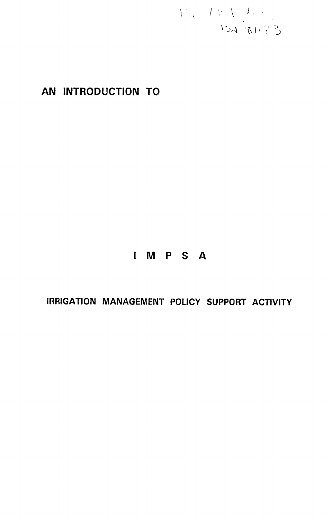$\label{eq:VW} \begin{array}{c} V_{\rm IV} = L V \sqrt{\frac{1}{3} \left( \frac{1}{2} \right)^{1/3}} \\ \text{15A} \left[ 84 \left( \frac{2}{3} \right)^{1/3} \right] \end{array}$ 

# **AN INTRODUCTION** TO

# **I** M P **S A**

**IRRIGATION MANAGEMENT POLICY SUPPORT ACTIVITY**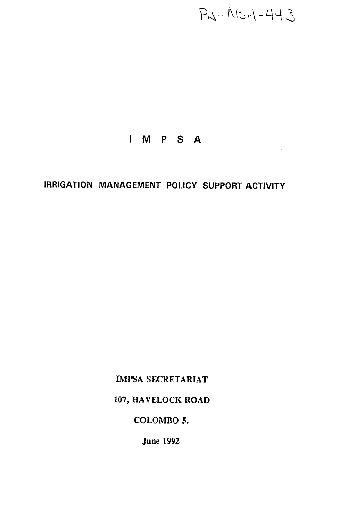$P - N - N - 443$ 

 $\sim$ 

# **I M P S A**

# IRRIGATION **MANAGEMENT** POLICY SUPPORT ACTIVITY

**IMPSA** SECRETARIAT

**107,** HAVELOCK ROAD

## COLOMBO **5.**

June **1992**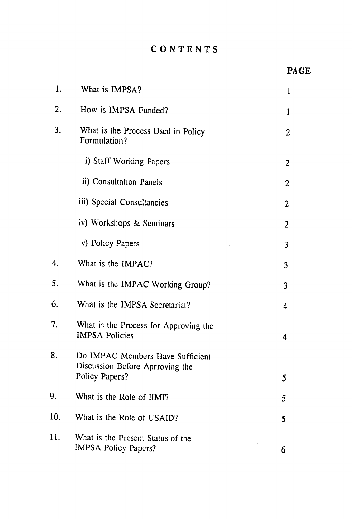## **CONTENTS**

| 1.  | What is IMPSA?                                                                        | $\mathbf{1}$   |  |  |
|-----|---------------------------------------------------------------------------------------|----------------|--|--|
| 2.  | How is IMPSA Funded?                                                                  |                |  |  |
| 3.  | What is the Process Used in Policy<br>Formulation?                                    |                |  |  |
|     | i) Staff Working Papers                                                               | 2              |  |  |
|     | ii) Consultation Panels                                                               | $\overline{2}$ |  |  |
|     | iii) Special Consultancies                                                            | 2              |  |  |
|     | iv) Workshops & Seminars                                                              | $\overline{2}$ |  |  |
|     | v) Policy Papers                                                                      | 3              |  |  |
| 4.  | What is the IMPAC?                                                                    | 3              |  |  |
| 5.  | What is the IMPAC Working Group?                                                      | 3              |  |  |
| 6.  | What is the IMPSA Secretariat?                                                        | 4              |  |  |
| 7.  | What is the Process for Approving the<br><b>IMPSA Policies</b>                        | 4              |  |  |
| 8.  | Do IMPAC Members Have Sufficient<br>Discussion Before Aprroving the<br>Policy Papers? | 5              |  |  |
| 9.  | What is the Role of IIMI?                                                             | 5              |  |  |
| 10. | What is the Role of USAID?                                                            | 5              |  |  |
| 11. | What is the Present Status of the<br><b>IMPSA Policy Papers?</b>                      | 6              |  |  |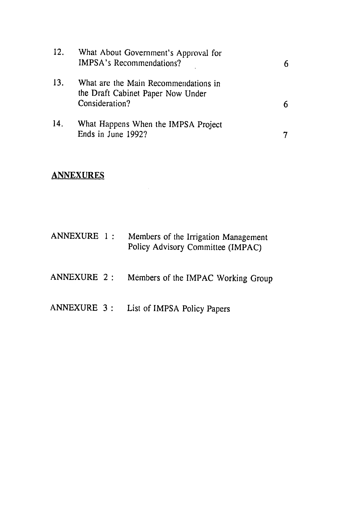| 12. | What About Government's Approval for<br><b>IMPSA's Recommendations?</b>                     |  |
|-----|---------------------------------------------------------------------------------------------|--|
| 13. | What are the Main Recommendations in<br>the Draft Cabinet Paper Now Under<br>Consideration? |  |
| 14. | What Happens When the IMPSA Project<br>Ends in June 1992?                                   |  |

## **ANNEXURES**

| ANNEXURE 1 : |  | Members of the Irrigation Management<br>Policy Advisory Committee (IMPAC) |
|--------------|--|---------------------------------------------------------------------------|
|              |  |                                                                           |

- **ANNEXURE** 2: Members of the IMPAC Working Group
- **ANNEXURE 3:**  List of IMPSA Policy Papers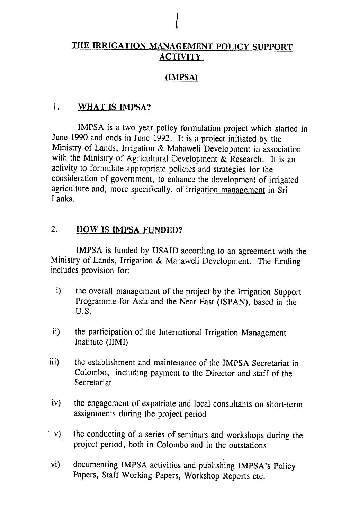## **TIlE IRRIGATION MANAGEMENT** POLICY **SUPPORT ACTIVITY**

*I* 

#### (IMPSA)

#### **1.** WHAT **IS** IMPSA?

IMPSA is a two year policy formulation project which started in June **1990** and ends in June **1992.** It is a project initiated by the Ministry of Lands, Irrigation & Mahaweli Development in association with the Ministry of Agricultural Development **&** Research. It is an activity to formulate appropriate policies and strategies for the consideration of government, to enhance the development of irrigated agriculture and, more specifically, of irrigation management in Sri Lanka.

#### 2. IHOW **IS IMPSA FUNDED?**

IMPSA is funded by USAID according to an agreement with the Ministry of Lands, Irrigation & Mahaweli Development. The funding includes provision for:

- i) the overall management of the project by the Irrigation Support Programme for Asia and the Near East (ISPAN), based in the U.S.
- ii) the participation of the International Irrigation Management Institute (IIMI)
- iii) the establishment and maintenance of the IMPSA Secretariat in Colombo, including payment to the Director and staff of the Secretariat
- iv) the engagement of expatriate and local consultants on short-term assignments during the project period
- v) the conducting of a series of seminars and workshops during the project period, both in Colombo and in the outstations
- vi) documenting IMPSA activities and publishing IMPSA's Policy Papers, Staff Working Papers, Workshop Reports etc.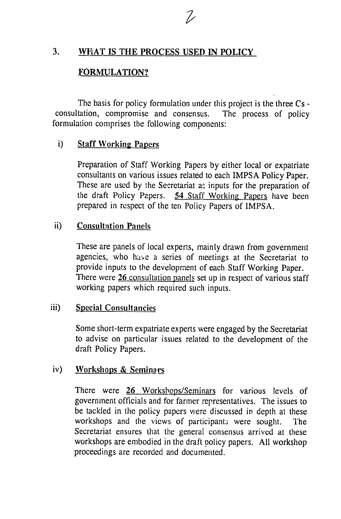#### **3. WH4AT IS THE PROCESS USED IN POLICY**

#### **FORMULATION?**

The basis for policy formulation under this project is the three Cs consultation, compromise and consensus. The process of policy formulation comprises the following components:

#### i) Staff Working Papers

Preparation of Staff Working Papers **by** either local or expatriate consultants on various issues related to each IMPSA Policy Paper. These are used **by** the Secretariat as inputs for the preparation of the draft Policy Papers. 54 Staff Working Papers have been prepared in respect of the ten Policy Papers of **IMPSA.** 

#### ii) Consultation Panels

These are panels of local experts, mainly drawn from government agencies, who have a series of meetings at the Secretariat to provide inputs to the development of each Staff Working Paper. There were **26** consultation panels set up in respect of various staff working papers which required such inputs.

#### iii) Special Consultancies

Some short-term expatriate experts were engaged by the Secretariat to advise on particular issues related to the development of the draft Policy Papers.

#### iv) Workshops **&** Seminars

There were 26 Workshops/Seminars for various levels of government officials and for farmer representatives. The issues to be tackled in the policy papers were discussed in depth at these workshops and the views of participants were sought. The Secretariat ensures that the general consensus arrived at these workshops are embodied in the draft policy papers. All workshop proceedings are recorded and documented.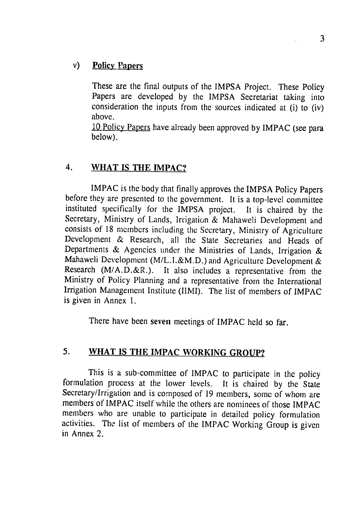## v) Policy Papers

These are the final outputs of the IMPSA Project. These Policy Papers are developed by the IMPSA Secretariat taking into consideration the inputs from the sources indicated at  $(i)$  to  $(iv)$ above.

10 Policy Papers have already been approved by IMPAC (see para below).

#### 4. WHAT IS **THE** IMPAC?

IMPAC is the body that finally approves the **IMPSA** Policy Papers before they are presented to the government. It is a top-level committee instituted specifically for the IMPSA project. It is chaired by the Secretary, Ministry of Lands, Irrigation & Mahaweli Development and consists of 18 members including the Secretary, Ministry of Agriculture Development & Research, all the State Secretaries and Heads of Departments & Agencies under the Ministries of Lands, Irrigation & Mahaweli Development (M/L.I.&M.D.) and Agriculture Development & Research (M/A.D.&R.). It also includes a representative from the Ministry of Policy Planning and a representative from the International Irrigation Management Institute (IIMI). The list of members of IMPAC is given in Annex 1.

There have been seven meetings of IMPAC held so far.

## **5. WHAT IS THE IMPAC WORKING GROUP?**

This is a sub-committee of IMPAC to participate in the policy formulation process at the lower levels. It is chaired by the State Secretary/Irrigation and is composed of 19 members, some of whom are members of IMPAC itself while the others are nominees of those IMPAC members who are unable to participate in detailed policy formulation activities. The list of members of the IMPAC Working Group is given in Annex 2.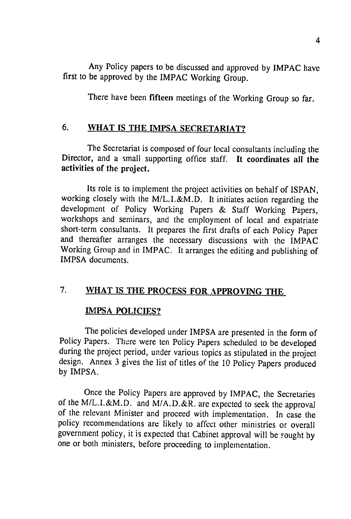Any Policy papers to be discussed and approved **by** IMPAC have first to be approved by the IMPAC Working Group.

There have been fifteen meetings of the Working Group so far.

#### **6.** WHAT **IS** THE IMPSA SECRETARIAT?

The Secretariat is composed of four local consultants including the Director, and a small supporting office staff. It coordinates all **the activities of the project.** 

Its role is to implement the project activities on behalf of ISPAN, working closely with the M/L.I.&M.D. It initiates action regarding the development of Policy Working Papers & Staff Working Papers, workshops and seminars, and the employment of local and expatriate short-term consultants. It prepares the first drafts of each Policy Paper and thereafter arranges the necessary discussions with the IMPAC Working Group and in IMPAC. It arranges the editing and publishing of IMPSA documents.

## **7.** WHAT **IS** THE **PROCESS** FOR APPROVING THE

#### **IMPSA POLICIES?**

**The** policies developed under **IMPSA** are presented in the form of Policy Papers. There were ten Policy Papers scheduled to be developed during the project period, under various topics as stipulated in the project design. Annex 3 gives the list of titles of the 10 Policy Papers produced by IMPSA.

Once the Policy Papers are approved by IMPAC, the Secretaries of the M/L.I.&M.D. and M/A.D.&R. are expected to seek the approval of the relevant Minister and proceed with implementation. In case the policy recommendations are likely to affect other ministries or overall government policy, it is expected that Cabinet approval will be sought by one or both ministers, before proceeding to implementation.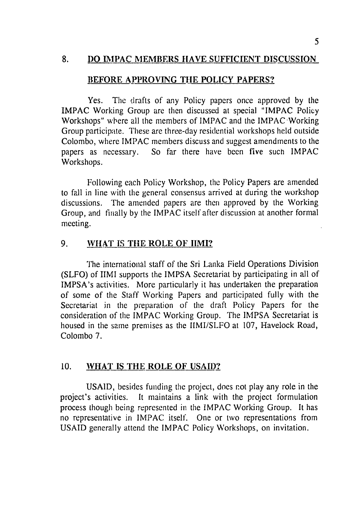#### 8. **DO IMPAC MEMBERS HAVE SUFFICIENT DISCUSSION**

#### BEFORE APPROVING THE POLICY PAPERS?

Yes. The drafts of any Policy papers once approved by the IMPAC Working Group are then discussed at special "IMPAC Policy Workshops" where all the members of IMPAC and the IMPAC Working Group participate. These are three-day residential workshops held outside Colombo, where IMPAC members discuss and suggest amendments to the papers as necessary. So far there have been five such IMPAC Workshops.

Following each Policy Workshop, the Policy Papers are amended to fall in line with the general consensus arrived at during the workshop discussions. The amended papers are then approved by the Working Group, and finally by the IMPAC itself after discussion at another formal meeting.

## 9. WHAT IS THE ROLE OF **IIMI?**

The international staff of the Sri Lanka Field Operations Division (SLFO) of IIMI supports the IMPSA Secretariat by participating in all of IMPSA's activities. More particularly it has undertaken the preparation of some of the Staff Working Papers and participated fully with the Secretariat in the preparation of the draft Policy Papers for the consideration of the IMPAC Working Group. The IMPSA Secretariat is housed in the same premises as the IIMI/SLFO at 107, Havelock Road, Colombo 7.

#### 10. **WHAT IS THE ROLE OF USAID?**

USAID, besides funding the project, does not play any role in the project's activities. It maintains a link with the project formulation process though being represented in the IMPAC Working Group. It has no representative in IMPAC itself. One or two representations from USAID generally attend the IMPAC Policy Workshops, on invitation.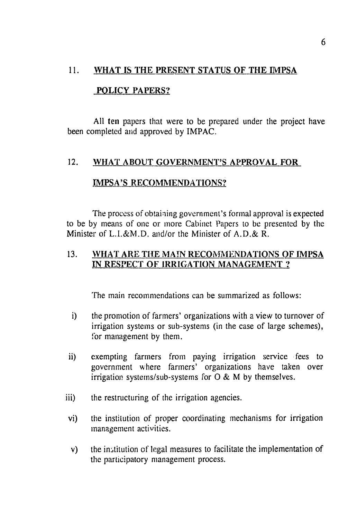#### **11. WHAT IS THE PRESENT STATUS OF THE IMPSA**

#### **POLICY PAPERS?**

**All ten** papers that were to be prepared under the project have been completed and approved **by** IMPAC.

#### 12. **WHAT ABOUT GOVERNMENT'S APPROVAL FOR**

#### **1MPSA'S RECOMMENDATIONS?**

The process of obtaining government's formal approval is expected to be **by** means of one or more Cabinet Papers to **be** presented **by** the Minister of L.I.&M.D. and/or the Minister of **A.D.&** R.

#### **13. WHAT ARE THE** MAIN **RECOMMENDATIONS OF IMPSA IN RESPECT OF IRRIGATION MANAGEMENT ?**

The main recommendations can be summarized as follows:

- i) the promotion of farmers' organizations with a view to turnover of irrigation systems or sub-systems (in the case of large schemes), **for** management **by** them.
- ii) exempting farmers from paying irrigation service fees to government where farmers' organizations have taken over irrigation systems/sub-systems for 0 & M by themselves.
- iii) the restructuring of the irrigation agencies.
- vi) the institution of proper coordinating mechanisms for irrigation management activities.
- v) the institution of legal measures to facilitate the implementation of the participatory management process.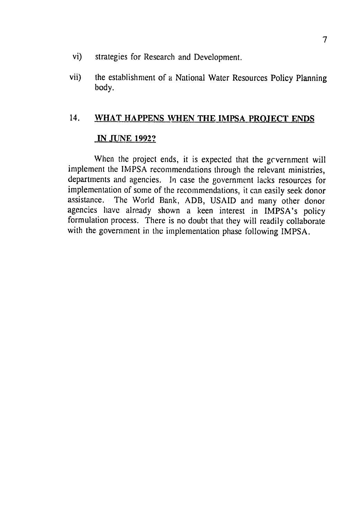- vi) strategies for Research and Development.
- vii) the establishment of a National Water Resources Policy Planning body.

#### **14. WHAT HAPPENS WHEN THE IMPSA PROJECT ENDS**

#### **IN JUNE 1992?**

When the project ends, it is expected that the government will implement the IMPSA recommendations through the relevant ministries, departments and agencies. In case the government lacks resources for implementation of some of the recommendations, it can easily seek donor assistance. The World Bank, ADB, USAID and many other donor agencies have already shown a keen interest in IMPSA's policy formulation process. There is no doubt that they will readily collaborate with the government in the implementation phase following IMPSA.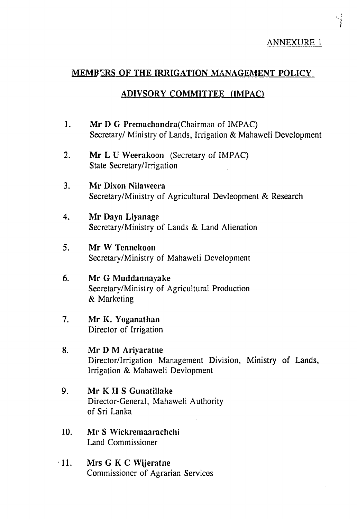$\frac{1}{\sqrt{2}}$ 

## MEMB2RS OF THE IRRIGATION **MANAGEMENT** POLICY

#### ADIVSORY COMMITTEE (IMPAC)

- 1. **Mr D G Premachandra** (Chairman of IMPAC) Secretary/ Ministry of Lands, Irrigation & Mahaweli Development
- 2. Mr L **U** Weerakoon (Secretary of IMPAC) State Secretary/Irrigation
- 3. Mr Dixon Nilaweera Secretary/Ministry of Agricultural Devleopment & Research
- 4. Mr Daya Liyanage Secretary/Ministry of Lands & Land Alienation
- 5. Mr W Tennekoon Secretary/Ministry of Mahaweli Development
- **6.**  Mr **G** Muddannayake Secretary/Ministry of Agricultural Production & Marketing
- **7.**  Mr K. Yoganathan Director of Irrigation

#### **8.**  Mr **D** M Ariyaratne

Director/Irrigation Management Division, Ministry of Lands, Irrigation & Mahaweli Devlopment

- **9.**  Mr K **I1S Gunatillake**  Director-General, Mahaweli Authority of Sri Lanka
- **10.**  Mr **S** Wickrernaarachchi Land Commissioner
- **11.**  Mrs **G** K **C** Wijeratne Commissioner of Agrarian Services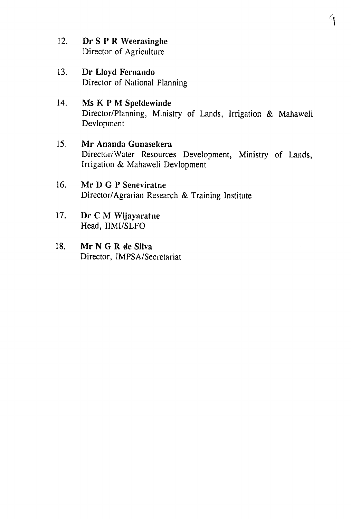- 12. Dr S P R Weerasinghe Director of Agriculture
- 13. Dr Lloyd Fernando Director of National Planning
- 14. Ms K P M Speldewinde Director/Planning, Ministry of Lands, Irrigation & Mahaweli Devlopment
- *15.*  Mr Ananda Gunasekera Director/Water Resources Development, Ministry of Lands, Irrigation & Mahaweli Devlopment
- **16.**  Mr **D G** P Seneviratne Director/Agraian Research & Training Institute
- **17.**  Dr **C** M Wijayaratne Head, IIMI/SLFO
- **18.**  Mr **N G** R **de** Silva Director, IMPSA/Secretariat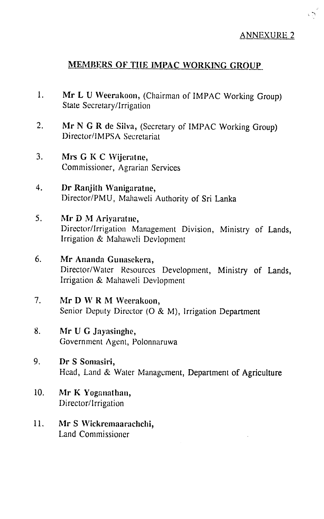$\sqrt{2}$ 

## MEMBERS OF **TIlE IMPAC WORKING GROUP**

- **1.**  Mr L **U** Weerakoon, (Chairman of IMPAC Working Group) State Secretary/Irrigation
- 2. Mr **N G** R **de** Silva, (Secretary of IMPAC Working Group) Director/IMPSA Secretariat
- **3.**  Mrs **G** K **C** Wijeratne, Commissioner, Agrarian Services
- 4. **Dr** Ranjith **Wanigaratne,**  I)irector/PMU, Mahaweli Authority of Sri Lanka
- 5. Mr D M Arivaratne, Director/Irrigation Management Division, Ministry of Lands, Irrigation & Mahaweli Devlopment
- 6. Mr Ananda Gunasekera, Director/Water Resources Development, Ministry of Lands, Irrigation & Mahaweli Devlopment
- 7. Mr D W R M Weerakoon, Senior Deputy Director **(0** & M), Irrigation Department
- 8. Mr U G Jayasinghe, Government Agent, Polonnaruwa
- **9.**  *Dr* **S** Sornasiri, Head, Land **&** Water Management, Department of Agriculture
- 10. Mr K Yoganathan, Director/Irrigation
- **11.**  Mr **S** Wickremaarachchi, Land Commissioner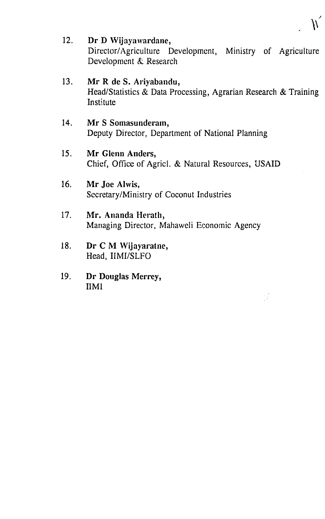12. Dr D Wijayawardane, Director/Agriculture Development, Ministry of Agriculture Development & Research

## 13. Mr R de S. Ariyabandu, Head/Statistics & Data Processing, Agrarian Research & Training Institute

## 14. Mr S Somasunderam, Deputy Director, Department of National Planning

- *15.*  Mr Glenn Anders, Chief, Office of Agricl. & Natural Resources, USAID
- 16. **Mr** Joe Alwis, Secretary/Ministry of Coconut Industries
- 17. Mr. Ananda Herath, Managing Director, Mahaweli Economic Agency
- 18. Dr C M Wijayaratne, Head, IIMI/SLFO
- **19. Dr** Douglas Merrey, IIMI

 $\frac{1}{2} \frac{d^2}{8}$